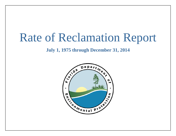# Rate of Reclamation Report

# **July 1, 1975 through December 31, 2014**

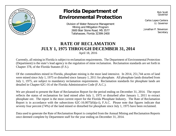

# **Florida Department of Environmental Protection**

Division of Water Resource Management Mining and Mitigation Program 2600 Blair Stone Road, MS 3577 Tallahassee, Florida 32399-2400

Rick Scott Governor

Carlos Lopez-Cantera Lt. Governor

Jonathan P. Steverson **Secretary** 

# **RATE OF RECLAMATION JULY 1, 1975 THROUGH DECEMBER 31, 2014**

April 18, 2016

Currently, all mining in Florida is subject to reclamation requirements. The Department of Environmental Protection (Department) is the state's lead agency in the regulation of mine reclamation. Reclamation standards are set forth in Chapter 378, of the Florida Statutes (F.S.).

Of the commodities mined in Florida, phosphate mining is the most land intensive. In 2014, 251,744 acres of land were mined since July 1, 1975 or disturbed since January 1, 2011 for phosphate. All phosphate lands disturbed from July 1, 1975, are subject to mandatory reclamation requirements. Reclamation standards for phosphate lands are detailed in Chapter 62C-16 of the Florida Administrative Code (F.A.C.).

We are pleased to present the Rate of Reclamation Report for the period ending on December 31, 2014. The report reflects the status of reclamation for land mined after July 1, 1975 or disturbed after January 1, 2011 to extract phosphate ore. The report is the most current report for the Florida Phosphate Industry. The Rate of Reclamation Report is in accordance with the subsections 62C-16.0075(6)(a-i), F.A.C. Please note that figures indicate that seventy four percent (74%) of the land mined or disturbed for phosphate since July 1, 1975 have been reclaimed.

Data used to generate the Rate of Reclamation Report is compiled from the Annual Mining and Reclamation Reports once deemed complete by Department staff for the year ending on December 31, 2014.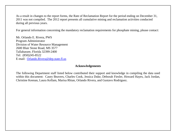As a result in changes to the report forms, the Rate of Reclamation Report for the period ending on December 31, 2011 was not compiled. The 2012 report presents all cumulative mining and reclamation activities conducted during all previous years.

For general information concerning the mandatory reclamation requirements for phosphate mining, please contact:

Mr. Orlando E. Rivera, PWS Program Administrator Division of Water Resource Management 2600 Blair Stone Road, MS 3577 Tallahassee, Florida 32399-2400 Tel: (850)245-8522 E-mail: [Orlando.Rivera@dep.state.fl.us](mailto:Orlando.Rivera@dep.state.fl.us)

#### **Acknowledgements**

The following Department staff listed below contributed their support and knowledge in compiling the data used within this document: Casey Beavers, Charles Cook, Jessica Duke, Deborah Fiesler, Howard Hayes, Jack Jordan, Christine Keenan, Laura Kellam, Marisa Rhian, Orlando Rivera, and Gustavo Rodriguez.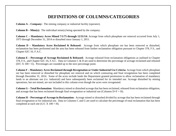## **DEFINITIONS OF COLUMNS/CATEGORIES**

**Column A – Company:** The mining company or industrial facility (operator).

**Column B – Mine(s):** The individual mine(s) being operated by the company.

**Column C – Mandatory Acres Mined 7/1/75 through 12/31/14:** Acreage from which phosphate ore removal occurred from July 1, 1975 through December 31, 2014 or disturbed since January 1, 2011.

**Column D – Mandatory Acres Reclaimed & Released:** Acreage from which phosphate ore has been removed or disturbed, reclamation has been performed and the area has been released from further reclamation obligation pursuant to Chapter 378, F.S., and Chapter 62C-16, F.A.C.

**Column E – Percentage of Acreage Reclaimed & Released:** Acreage released from reclamation obligations as outlined in Chapter 378, F.S., and Chapter 62C-16, F.A.C. Data in Columns C & D are used to determine the percentage of acreage reclaimed and released  $(D/C X 100 = E)$ . Percentages are rounded up to the next percentage point.

**Column F – Mandatory Acres Reclaimed through Revegetation or Under Industrial Use Criteria:** Acreage from which phosphate ore has been removed or disturbed for phosphate ore removal and on which contouring and final revegetation has been completed through December 31, 2014. Some of the acres include lands the Department granted permission to allow reclamation of mandatory lands to an alternate use (i.e. industrial) and have subsequently been reclaimed for its intended use. Acreage disturbed by mining operations, but not mined, are not included in this column even though the acres were revegetated.

**Column G – Total Reclamation:** Mandatory mined or disturbed acreage that has been reclaimed, released from reclamation obligation, and acreage that has been reclaimed through final revegetation or industrial use (Columns  $D+F = H$ ).

**Column H – Percentage of Acreage in Reclamation:** Acreage mined or disturbed divided by acreage that has been reclaimed through final revegetation or for industrial use. Data in Columns C and G are used to calculate the percentage of total reclamation that has been completed at each site ( $G/C \times 100 = H$ ).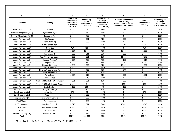| A                           | в                                   | C                                                                          | D                                                                             | E.                                                                                         | F                                                                                                                    | G                                               | н.                                                                |
|-----------------------------|-------------------------------------|----------------------------------------------------------------------------|-------------------------------------------------------------------------------|--------------------------------------------------------------------------------------------|----------------------------------------------------------------------------------------------------------------------|-------------------------------------------------|-------------------------------------------------------------------|
| Company                     | Mine(s)                             | Mandatory<br><b>Acres Mined</b><br>or Disturbed<br>7/1/75 thru<br>12/31/14 | <b>Mandatory</b><br><b>Acres</b><br><b>Reclaimed &amp;</b><br><b>Released</b> | Percentage of<br>Acreage<br><b>Reclaimed &amp;</b><br><b>Released</b><br>$(D/C X 100 = E)$ | <b>Mandatory Reclaimed</b><br><b>Acres Through</b><br><b>Revegetation or Under</b><br><b>Industrial Use Criteria</b> | <b>Total</b><br><b>Reclamation</b><br>$(D+F=G)$ | Percentage of<br>Acreage<br><b>Reclaimed</b><br>$(G/C X 100 = H)$ |
| Agrifos Mining, LLC (1)     | <b>Nichols</b>                      | 4,951                                                                      | 2.045                                                                         | 41%                                                                                        | 1.614                                                                                                                | 3.659                                           | 74%                                                               |
| Brewster Phosphates (2) (3) | Haynesworth (a) (k)                 | 3,754                                                                      | 3,760                                                                         | 100%                                                                                       | $\Omega$                                                                                                             | 3,761                                           | 100%                                                              |
| Brewster Phosphates (2) (3) | Lonesome (b)                        | 3.788                                                                      | 3,788                                                                         | 100%                                                                                       | $\Omega$                                                                                                             | 3.788                                           | 100%                                                              |
| Mosaic Fertilizer, LLC*     | Big Four (e)                        | 4,892                                                                      | 1.991                                                                         | 41%                                                                                        | 2,900                                                                                                                | 4,891                                           | 100%                                                              |
| Mosaic Fertilizer. LLC*     | Bonny Lake (b)                      | 1,956                                                                      | 1.956                                                                         | 100%                                                                                       | $\Omega$                                                                                                             | 1,956                                           | 100%                                                              |
| Mosaic Fertilizer. LLC*     | Clear Springs (a)(l)                | 6.719                                                                      | 4,702                                                                         | 70%                                                                                        | 2,017                                                                                                                | 6,719                                           | 100%                                                              |
| Mosaic Fertilizer, LLC*     | Green Bav                           | 719                                                                        | 719                                                                           | 100%                                                                                       | $\Omega$                                                                                                             | 719                                             | 100%                                                              |
| Mosaic Fertilizer, LLC*     | Fort Green                          | 26.904                                                                     | 10,891                                                                        | 40%                                                                                        | 10.808                                                                                                               | 21.699                                          | 81%                                                               |
| Mosaic Fertilizer, LLC*     | Fort Meade (I)                      | 11,236                                                                     | 7,611                                                                         | 68%                                                                                        | 2,003                                                                                                                | 9,614                                           | 86%                                                               |
| Mosaic Fertilizer, LLC*     | Four Corners/Lonesome               | 37,585                                                                     | 5,831                                                                         | 16%                                                                                        | 11,241                                                                                                               | 17,072                                          | 45%                                                               |
| Mosaic Fertilizer. LLC*     | Hookers Prairie (I)                 | 14,207                                                                     | 5,728                                                                         | 40%                                                                                        | 5,189                                                                                                                | 10,917                                          | 77%                                                               |
| Mosaic Fertilizer, LLC*     | Hopewell (f)                        | 3,475                                                                      | 1,150                                                                         | 33%                                                                                        | 2,269                                                                                                                | 3,419                                           | 98%                                                               |
| Mosaic Fertilizer. LLC*     | <b>Kingsford Complex</b>            | 18.648                                                                     | 7,620                                                                         | 41%                                                                                        | 10.987                                                                                                               | 18.607                                          | 100%                                                              |
| Mosaic Fertilizer. LLC*     | New Wales (g)                       | 1,085                                                                      | 1,085                                                                         | 100%                                                                                       | $\Omega$                                                                                                             | 1,085                                           | 100%                                                              |
| Mosaic Fertilizer, LLC*     | Noralyn/Phosphoria (a) (h)          | 7,867                                                                      | 5,753                                                                         | 73%                                                                                        | 1,847                                                                                                                | 7,600                                           | 97%                                                               |
| Mosaic Fertilizer. LLC*     | North Pasture (b)                   | 1,227                                                                      | 1.106                                                                         | 90%                                                                                        | 121                                                                                                                  | 1,227                                           | 100%                                                              |
| Mosaic Fertilizer. LLC*     | Payne Creek                         | 12,894                                                                     | 9,216                                                                         | 71%                                                                                        | 3,635                                                                                                                | 12,851                                          | 100%                                                              |
| Mosaic Fertilizer. LLC*     | Pebbledale (b)                      | 2,210                                                                      | 2,210                                                                         | 100%                                                                                       | $\Omega$                                                                                                             | 2,210                                           | 100%                                                              |
| Mosaic Fertilizer. LLC*     | South Fort Meade Polk County (c)(l) | 14.021                                                                     | 2.291                                                                         | 16%                                                                                        | 4.380                                                                                                                | 6.671                                           | 48%                                                               |
| Mosaic Fertilizer, LLC*     | South Fort Meade Hardee County      | 2.220                                                                      | $\Omega$                                                                      | 0%                                                                                         | 266                                                                                                                  | 266                                             | 12%                                                               |
| Mosaic Fertilizer, LLC*     | South Pasture                       | 12,122                                                                     | 180                                                                           | 1%                                                                                         | 3,169                                                                                                                | 3,349                                           | 28%                                                               |
| Mosaic Fertilizer. LLC*     | Wingate Creek (i)                   | 2.526                                                                      | 352                                                                           | 14%                                                                                        | 762                                                                                                                  | 1.114                                           | 44%                                                               |
| Estech Incorporated         | Silver City (b)                     | 470                                                                        | 470                                                                           | 100%                                                                                       | $\Omega$                                                                                                             | 470                                             | 100%                                                              |
| Estech Incorporated         | Watson (b)                          | 2.853                                                                      | 2,853                                                                         | 100%                                                                                       | $\Omega$                                                                                                             | 2.853                                           | 100%                                                              |
| Progress Energy(7)          | <b>Hines Energy Complex</b>         | 1.695                                                                      | 1.695                                                                         | 100%                                                                                       | $\Omega$                                                                                                             | 1.695                                           | 100%                                                              |
| Mobil / Exxon               | Fort Meade (b)                      | 6.220                                                                      | 6.246                                                                         | 100%                                                                                       | $\Omega$                                                                                                             | 6.246                                           | 100%                                                              |
| <b>PCS Phosphate</b>        | Hamilton County (i)                 | 37,819                                                                     | 9,071                                                                         | 24%                                                                                        | 15,469                                                                                                               | 24,540                                          | 65%                                                               |
| TECO(9)                     | <b>Polk Power Station</b>           | 2,460                                                                      | 2,460                                                                         | 100%                                                                                       | $\mathbf 0$                                                                                                          | 2,460                                           | 100%                                                              |
| <b>USAC</b>                 | Rockland (b)                        | 3,689                                                                      | 3,689                                                                         | 100%                                                                                       | $\Omega$                                                                                                             | 3,689                                           | 100%                                                              |
| Williams Company (10)       | Saddle Creek (b)                    | 1,532                                                                      | 1,532                                                                         | 100%                                                                                       | $\Omega$                                                                                                             | 1,532                                           | 100%                                                              |
| <b>Total</b>                |                                     | 251,744                                                                    | 108,000                                                                       | 43%                                                                                        | 78,676                                                                                                               | 186,676                                         | 74%                                                               |

Mosaic Fertilizer, LLC, Footnotes (3), (4), (5), (6), (7), (8), (11), and (12)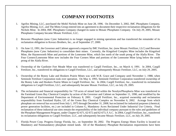## **COMPANY FOOTNOTES**

- 1. Agrifos Mining, LLC, purchased the Mobil Nichols Mine on June 28, 1996. On December 3, 2002, IMC Phosphates Company, Agrifos Mining, LLC, and The Mims Group entered into an agreement to document their respective reclamation obligations for the Nichols Mine. In 2004, IMC Phosphates Company changed its name to Mosaic Phosphates Company. On July 29, 2005, Mosaic Phosphates Company became Mosaic Fertilizer, LLC.
- 2. Brewster Phosphates (now Cytec Industries) is no longer engaged in mining operations and has transferred the remainder of its reclamation obligation to Kovacs Brothers, Inc., as of September 27, 2000.
- 3. On June 12, 1991, the Governor and Cabinet approved a request by IMC Fertilizer, Inc. (now Mosaic Fertilizer, LLC) and Brewster Phosphates (now Cytec Industries) to consolidate their mines. Currently, the Kingsford Complex Mine includes the Kingsford Mine, the Haynesworth Mine and portions of the Lonesome Mine, which lies north of the south prong of the Alafia River. The Four Corners/Lonesome Mine now includes the Four Corners Mine and portions of the Lonesome Mine lying below the south prong of the Alafia River.
- 4. Ownership of the Gardinier Fort Meade Mine was transferred to Cargill Fertilizer, Inc., on March 4, 1991. In 2004, Cargill Fertilizer, Inc., transferred its obligations to Cargill Fertilizer, LLC, and subsequently Mosaic Fertilizer, LLC, on July 29, 2005.
- 5. Ownership of the Bonny Lake and Hookers Prairie Mines was with W.R. Grace and Company until November 1, 1988, when Seminole Fertilizer Corporation took over operation. On May 4, 1993, Seminole Fertilizer Corporation transferred ownership of the Bonny Lake and Hookers Prairie Mines to Cargill Fertilizer, Inc. In 2004, Cargill Fertilizer, Inc., transferred its reclamation obligations to Cargill Fertilizer, LLC, and subsequently became Mosaic Fertilizer, LLC, on July 29, 2005.
- 6. The reclamation and financial responsibility for 719 acres of mined land within the Noralyn/Phosphoria Mine was transferred to the Farmland Green Bay Chemical Complex by action of the Governor and Cabinet on September 11, 1990, and modified by the Department of Environmental Protection on February 8, 2001. Cargill Fertilizer, Inc., acquired ownership and reclamation responsibility from Farmland Hydro, LP, of the Green Bay Chemical Complex on November 6, 2002. Acreage from which phosphate ore removal has occurred from July 1, 1975 through December 31, 2008, but reclaimed for industrial purposes (chemical, power generation facilities, etc.) are included in Column G, Mandatory Acres Reclaimed Under Industrial Use Criteria. Final reclamation of these industrial use sites remain the responsibility of the individual company pursuant to the rules and guidelines of the Phosphate Management Program, under Chapter 62-671, 62-672 and 62-673, F.A.C. In 2004, Cargill Fertilizer, Inc., transferred its reclamation obligations to Cargill Fertilizer, LLC, and subsequently became Mosaic Fertilizer, LLC, on July 29, 2005.
- 7. Florida Power Corp. Progress Energy Florida, Inc., on September 30, 2002. The Progress Energy Hines Facility is located on Mandatory and Nonmandatory phosphate mined lands. All of the Mandatory Phosphate Reclamation requirements have been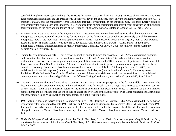satisfied through variances associated with the Site Certification for the power facility or through releases of reclamation. The 2006 Rate of Reclamation data for the Progress Energy Facility was revised to explicitly show only the Mandatory Acres Mined 07/01/75 through 12/21/06 and the Mandatory Acres Reclaimed through Revegetation or for Industrial Use. Progress Energy assumed responsibility for final closure of the industrial sites varianced from mining reclamation responsibility for construction of the power facility pursuant to the rules and guidelines of the Office of Siting Coordination, as stated in Chapter 62-17, Part I, F.A.C.

- 8. Any remaining areas to be mined at the Haynesworth or Lonesome Mines were to be mined by IMC Phosphates Company. IMC Phosphates Company accepted responsibility for reclamation of the following areas which were previously part of the Brewster Phosphates (now Cytec Industries) mining operation: BP-H-SPA(3), southeast of O Pond; BP-H-LB(2A), south of Doc Durance Road; BP-H-86(3), North County Road 630; BP-L-SP(8), DL Pond and IMC-KC-BOG(5), AL/BL Pond. In 2004, IMC Phosphates Company changed its name to Mosaic Phosphates Company. On July 29, 2005, Mosaic Phosphates Company became Mosaic Fertilizer, LLC.
- 9. Tampa Electric Corporation (TECO) sited power generation on lands mined for phosphate. IMC-Agrico, American Cyanamid, and Brewster Phosphates mined the present location of the TECO Polk Power Station Site and completed a portion of the reclamation. However, the remaining reclamation responsibility was assumed by TECO under the Department of Environmental Protection Power Plant Site Certification. All mine reclamation/restoration/mitigation requirements and agreements have been completed. Acreage from which phosphate ore removal has occurred from July 1, 1975 through December 31, 2009, but reclaimed for industrial purposes (chemical, power generation facilities, etc.) are included in Column G, Mandatory Acres Reclaimed Under Industrial Use Criteria. Final reclamation of these industrial sites remain the responsibility of the individual company pursuant to the rules and guidelines of the Office of Siting Coordination, as stated in Chapter 62-17, Part I, F.A.C.
- 10. The Polk County North Central Landfill is located on land that was mined for phosphate in the former Saddle Creek Mine. The last remaining reclamation requirements in the Saddle Creek Mine for parcel AGR-SC-84(3) were released to allow for expansion of the landfill. Due to the industrial nature of the landfill expansion, the Department issued a variance for the reclamation requirements and determined that the site should be under the oversight of the Southwest Florida Water Management District and the Department's Solid Waste Section for management as a solid waste facility.
- 11. IMC Fertilizer, Inc., and Agrico Mining Co. merged on July 1, 1993 forming IMC Agrico. IMC Agrico assumed the reclamation responsibility for lands mined by both IMC Fertilizer and Agrico Mining Company. On August 7, 2000, IMC Agrico became IMC Phosphates Co. and assumed reclamation responsibility for the mines listed under IMC Agrico. In 2004, IMC Phosphates Company changed its name to Mosaic Phosphates Company. On July 29, 2005, Mosaic Phosphates Company became Mosaic Fertilizer, LLC.
- 12. NuGulf's Wingate Creek Mine was purchased by Cargill Fertilizer, Inc., in 2004. Later on that year, Cargill Fertilizer, Inc., transferred its reclamation obligations to Cargill Fertilizer, LLC. This company subsequently became Mosaic Fertilizer, LLC, on July 29, 2005.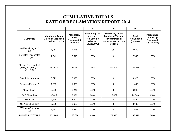## **CUMULATIVE TOTALS RATE OF RECLAMATION REPORT 2014**

| B                                                                         | C                                                                           | D                                                                             | E                                                                                    | F                                                                                                                              | G                                               | H                                                           |
|---------------------------------------------------------------------------|-----------------------------------------------------------------------------|-------------------------------------------------------------------------------|--------------------------------------------------------------------------------------|--------------------------------------------------------------------------------------------------------------------------------|-------------------------------------------------|-------------------------------------------------------------|
| <b>COMPANY</b>                                                            | <b>Mandatory Acres</b><br><b>Mined or Disturbed</b><br>7/1/75 thru 12/31/14 | <b>Mandatory</b><br><b>Acres</b><br><b>Reclaimed &amp;</b><br><b>Released</b> | Precentage of<br>Acreage<br><b>Reclaimed &amp;</b><br><b>Released</b><br>(D/Cx100=E) | <b>Mandatory Acres</b><br><b>Reclaimed Through</b><br><b>Revegetation or</b><br><b>Under Industrial Use</b><br><b>Criteria</b> | <b>Total</b><br><b>Reclamation</b><br>$(D+F=G)$ | Percentage<br>of Acreage<br><b>Reclaimed</b><br>(G/Cx100=H) |
| Agrifos Mining, LLC<br>(1)                                                | 4,951                                                                       | 2,045                                                                         | 41%                                                                                  | 1,614                                                                                                                          | 3,659                                           | 74%                                                         |
| <b>Brewster Phosphates</b><br>$(2)$ $(3)$                                 | 7,542                                                                       | 7,548                                                                         | 100%                                                                                 | $\mathbf 0$                                                                                                                    | 7,548                                           | 100%                                                        |
| Mosaic Fertilizer, LLC<br>$(3)$ $(4)$ $(5)$ $(6)$ $(7)$ $(8)$<br>(11)(12) | 182,513                                                                     | 70,391                                                                        | 39%                                                                                  | 61,594                                                                                                                         | 131,984                                         | 72%                                                         |
| <b>Estech Incorporated</b>                                                | 3,323                                                                       | 3,323                                                                         | 100%                                                                                 | $\mathbf 0$                                                                                                                    | 3,323                                           | 100%                                                        |
| Progress Energy (7)                                                       | 1,695                                                                       | 1,695                                                                         | 100%                                                                                 | $\mathbf 0$                                                                                                                    | 1,695                                           | 100%                                                        |
| Mobil / Exxon                                                             | 6,220                                                                       | 6,246                                                                         | 100%                                                                                 | $\pmb{0}$                                                                                                                      | 6,246                                           | 100%                                                        |
| PCS Phosphate                                                             | 37,819                                                                      | 9,071                                                                         | 24%                                                                                  | 15,469                                                                                                                         | 24,540                                          | 65%                                                         |
| TECO(9)                                                                   | 2,460                                                                       | 2,460                                                                         | 100%                                                                                 | 0                                                                                                                              | 2,460                                           | 100%                                                        |
| <b>US Agri-Chemicals</b>                                                  | 3,689                                                                       | 3,689                                                                         | 100%                                                                                 | 0                                                                                                                              | 3,689                                           | 100%                                                        |
| Williams Company<br>(10)                                                  | 1,532                                                                       | 1,532                                                                         | 100%                                                                                 | $\pmb{0}$                                                                                                                      | 1,532                                           | 100%                                                        |
| <b>INDUSTRY TOTALS</b>                                                    | 251,744                                                                     | 108,000                                                                       | 43%                                                                                  | 78,676                                                                                                                         | 186,676                                         | 74%                                                         |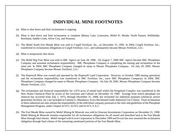### **INDIVIDUAL MINE FOOTNOTES**

- (a) Mine is shut down and final reclamation is ongoing.
- (b) Mine is shut down and final reclamation is complete (Bonny Lake, Lonesome, Mobil Ft. Meade, North Pasture, Pebbledale, Rockland, Saddle Creek, Silver City, and Watson).
- (c) The Mobil South Fort Meade Mine was sold to Cargill Fertilizer, Inc., on December 15, 1995. In 2004, Cargill Fertilizer, Inc., transferred its reclamation obligations to Cargill Fertilizer, LLC, and subsequently became Mosaic Fertilizer, LLC.
- (d) Mine is temporarily shut down.
- (e) The Mobil Big Four Mine was sold to IMC Agrico on June 28, 1996. On August 7, 2000 IMC Agrico became IMC Phosphates Company and assumed reclamation responsibility. IMC Phosphates Company is completing the mining and reclamation of the mine site. In 2004, IMC Phosphates Company changed its name to Mosaic Phosphates Company. On July 29, 2005, Mosaic Phosphates Company became Mosaic Fertilizer, LLC.
- (f) The Hopewell Mine was owned and operated by the Hopewell Land Corporation. However, in October 1989 mining operations and the reclamation responsibility was transferred to IMC Fertilizer, Inc., (now IMC Phosphates Company). In 2004, IMC Phosphates Company changed its name to Mosaic Phosphates Company. On July 29, 2005, Mosaic Phosphates Company became Mosaic Fertilizer, LLC.
- (g) The reclamation and financial responsibility for 1,074 acres of mined land within the Kingsford Complex was transferred to the New Wales Chemical Plant by action of the Governor and Cabinet on December 19, 1989. Acreage from which phosphate ore removal has occurred from July 1, 1975, through December 31, 2008, but reclaimed for industrial purposes (chemical, power generation facilities, etc.) are included in Column G, Mandatory Acres Reclaimed Under Industrial Use Criteria. Final reclamation of these industrial use sites remain the responsibility of the individual company pursuant to the rules and guidelines of the Phosphate Management Program, under Chapter 62-671, 62-672 and 62-673, F.A.C.
- (h) The Fort Meade Mine owned by Mobil Mining & Minerals was sold to Glawson Investments Corporation on December 21, 1998. Mobil Mining & Minerals remains responsible for all reclamation obligations for all mined and disturbed land at the Fort Meade Mine through final release. Mobil merged with Exxon Corporation in December 1999 and Exxon has now assumed the reclamation obligation through final release of the remaining unreleased portions of the Fort Meade Mine.